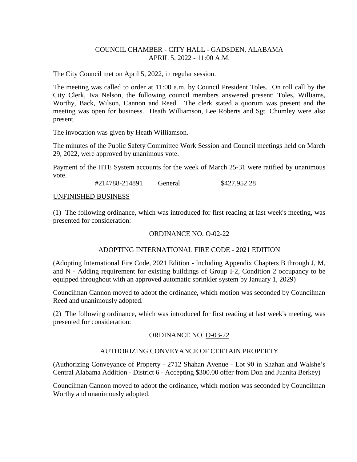## COUNCIL CHAMBER - CITY HALL - GADSDEN, ALABAMA APRIL 5, 2022 - 11:00 A.M.

The City Council met on April 5, 2022, in regular session.

The meeting was called to order at 11:00 a.m. by Council President Toles. On roll call by the City Clerk, Iva Nelson, the following council members answered present: Toles, Williams, Worthy, Back, Wilson, Cannon and Reed. The clerk stated a quorum was present and the meeting was open for business. Heath Williamson, Lee Roberts and Sgt. Chumley were also present.

The invocation was given by Heath Williamson.

The minutes of the Public Safety Committee Work Session and Council meetings held on March 29, 2022, were approved by unanimous vote.

Payment of the HTE System accounts for the week of March 25-31 were ratified by unanimous vote.

#214788-214891 General \$427,952.28

#### UNFINISHED BUSINESS

(1) The following ordinance, which was introduced for first reading at last week's meeting, was presented for consideration:

## ORDINANCE NO. O-02-22

### ADOPTING INTERNATIONAL FIRE CODE - 2021 EDITION

(Adopting International Fire Code, 2021 Edition - Including Appendix Chapters B through J, M, and N - Adding requirement for existing buildings of Group I-2, Condition 2 occupancy to be equipped throughout with an approved automatic sprinkler system by January 1, 2029)

Councilman Cannon moved to adopt the ordinance, which motion was seconded by Councilman Reed and unanimously adopted.

(2) The following ordinance, which was introduced for first reading at last week's meeting, was presented for consideration:

### ORDINANCE NO. O-03-22

# AUTHORIZING CONVEYANCE OF CERTAIN PROPERTY

(Authorizing Conveyance of Property - 2712 Shahan Avenue - Lot 90 in Shahan and Walshe's Central Alabama Addition - District 6 - Accepting \$300.00 offer from Don and Juanita Berkey)

Councilman Cannon moved to adopt the ordinance, which motion was seconded by Councilman Worthy and unanimously adopted.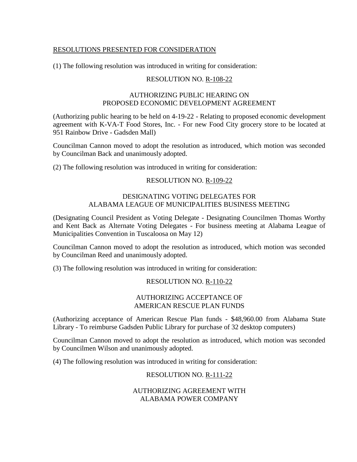# RESOLUTIONS PRESENTED FOR CONSIDERATION

(1) The following resolution was introduced in writing for consideration:

# RESOLUTION NO. R-108-22

### AUTHORIZING PUBLIC HEARING ON PROPOSED ECONOMIC DEVELOPMENT AGREEMENT

(Authorizing public hearing to be held on 4-19-22 - Relating to proposed economic development agreement with K-VA-T Food Stores, Inc. - For new Food City grocery store to be located at 951 Rainbow Drive - Gadsden Mall)

Councilman Cannon moved to adopt the resolution as introduced, which motion was seconded by Councilman Back and unanimously adopted.

(2) The following resolution was introduced in writing for consideration:

## RESOLUTION NO. R-109-22

# DESIGNATING VOTING DELEGATES FOR ALABAMA LEAGUE OF MUNICIPALITIES BUSINESS MEETING

(Designating Council President as Voting Delegate - Designating Councilmen Thomas Worthy and Kent Back as Alternate Voting Delegates - For business meeting at Alabama League of Municipalities Convention in Tuscaloosa on May 12)

Councilman Cannon moved to adopt the resolution as introduced, which motion was seconded by Councilman Reed and unanimously adopted.

(3) The following resolution was introduced in writing for consideration:

# RESOLUTION NO. R-110-22

### AUTHORIZING ACCEPTANCE OF AMERICAN RESCUE PLAN FUNDS

(Authorizing acceptance of American Rescue Plan funds - \$48,960.00 from Alabama State Library - To reimburse Gadsden Public Library for purchase of 32 desktop computers)

Councilman Cannon moved to adopt the resolution as introduced, which motion was seconded by Councilmen Wilson and unanimously adopted.

(4) The following resolution was introduced in writing for consideration:

# RESOLUTION NO. R-111-22

## AUTHORIZING AGREEMENT WITH ALABAMA POWER COMPANY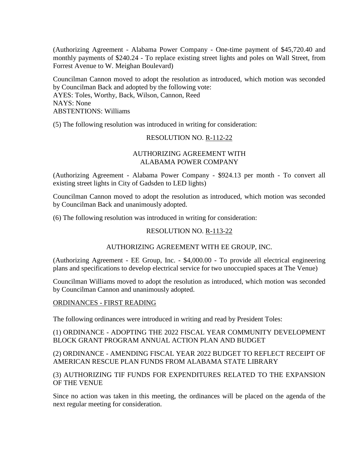(Authorizing Agreement - Alabama Power Company - One-time payment of \$45,720.40 and monthly payments of \$240.24 - To replace existing street lights and poles on Wall Street, from Forrest Avenue to W. Meighan Boulevard)

Councilman Cannon moved to adopt the resolution as introduced, which motion was seconded by Councilman Back and adopted by the following vote: AYES: Toles, Worthy, Back, Wilson, Cannon, Reed NAYS: None ABSTENTIONS: Williams

(5) The following resolution was introduced in writing for consideration:

### RESOLUTION NO. R-112-22

## AUTHORIZING AGREEMENT WITH ALABAMA POWER COMPANY

(Authorizing Agreement - Alabama Power Company - \$924.13 per month - To convert all existing street lights in City of Gadsden to LED lights)

Councilman Cannon moved to adopt the resolution as introduced, which motion was seconded by Councilman Back and unanimously adopted.

(6) The following resolution was introduced in writing for consideration:

# RESOLUTION NO. R-113-22

### AUTHORIZING AGREEMENT WITH EE GROUP, INC.

(Authorizing Agreement - EE Group, Inc. - \$4,000.00 - To provide all electrical engineering plans and specifications to develop electrical service for two unoccupied spaces at The Venue)

Councilman Williams moved to adopt the resolution as introduced, which motion was seconded by Councilman Cannon and unanimously adopted.

ORDINANCES - FIRST READING

The following ordinances were introduced in writing and read by President Toles:

## (1) ORDINANCE - ADOPTING THE 2022 FISCAL YEAR COMMUNITY DEVELOPMENT BLOCK GRANT PROGRAM ANNUAL ACTION PLAN AND BUDGET

(2) ORDINANCE - AMENDING FISCAL YEAR 2022 BUDGET TO REFLECT RECEIPT OF AMERICAN RESCUE PLAN FUNDS FROM ALABAMA STATE LIBRARY

(3) AUTHORIZING TIF FUNDS FOR EXPENDITURES RELATED TO THE EXPANSION OF THE VENUE

Since no action was taken in this meeting, the ordinances will be placed on the agenda of the next regular meeting for consideration.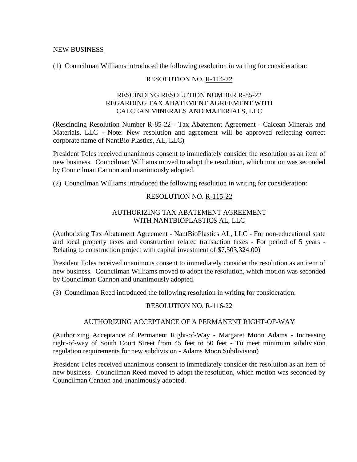#### NEW BUSINESS

(1) Councilman Williams introduced the following resolution in writing for consideration:

## RESOLUTION NO. R-114-22

## RESCINDING RESOLUTION NUMBER R-85-22 REGARDING TAX ABATEMENT AGREEMENT WITH CALCEAN MINERALS AND MATERIALS, LLC

(Rescinding Resolution Number R-85-22 - Tax Abatement Agreement - Calcean Minerals and Materials, LLC - Note: New resolution and agreement will be approved reflecting correct corporate name of NantBio Plastics, AL, LLC)

President Toles received unanimous consent to immediately consider the resolution as an item of new business. Councilman Williams moved to adopt the resolution, which motion was seconded by Councilman Cannon and unanimously adopted.

(2) Councilman Williams introduced the following resolution in writing for consideration:

### RESOLUTION NO. R-115-22

## AUTHORIZING TAX ABATEMENT AGREEMENT WITH NANTBIOPLASTICS AL, LLC

(Authorizing Tax Abatement Agreement - NantBioPlastics AL, LLC - For non-educational state and local property taxes and construction related transaction taxes - For period of 5 years - Relating to construction project with capital investment of \$7,503,324.00)

President Toles received unanimous consent to immediately consider the resolution as an item of new business. Councilman Williams moved to adopt the resolution, which motion was seconded by Councilman Cannon and unanimously adopted.

(3) Councilman Reed introduced the following resolution in writing for consideration:

### RESOLUTION NO. R-116-22

# AUTHORIZING ACCEPTANCE OF A PERMANENT RIGHT-OF-WAY

(Authorizing Acceptance of Permanent Right-of-Way - Margaret Moon Adams - Increasing right-of-way of South Court Street from 45 feet to 50 feet - To meet minimum subdivision regulation requirements for new subdivision - Adams Moon Subdivision)

President Toles received unanimous consent to immediately consider the resolution as an item of new business. Councilman Reed moved to adopt the resolution, which motion was seconded by Councilman Cannon and unanimously adopted.